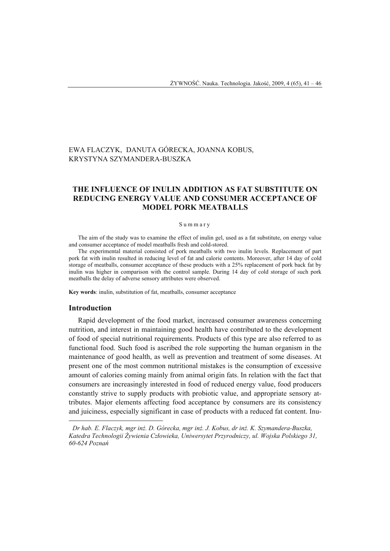# EWA FLACZYK, DANUTA GÓRECKA, JOANNA KOBUS, KRYSTYNA SZYMANDERA-BUSZKA

# **THE INFLUENCE OF INULIN ADDITION AS FAT SUBSTITUTE ON REDUCING ENERGY VALUE AND CONSUMER ACCEPTANCE OF MODEL PORK MEATBALLS**

#### Summary

The aim of the study was to examine the effect of inulin gel, used as a fat substitute, on energy value and consumer acceptance of model meatballs fresh and cold-stored.

The experimental material consisted of pork meatballs with two inulin levels. Replacement of part pork fat with inulin resulted in reducing level of fat and calorie contents. Moreover, after 14 day of cold storage of meatballs, consumer acceptance of these products with a 25% replacement of pork back fat by inulin was higher in comparison with the control sample. During 14 day of cold storage of such pork meatballs the delay of adverse sensory attributes were observed.

**Key words**: inulin, substitution of fat, meatballs, consumer acceptance

### **Introduction**

 $\overline{a}$ 

Rapid development of the food market, increased consumer awareness concerning nutrition, and interest in maintaining good health have contributed to the development of food of special nutritional requirements. Products of this type are also referred to as functional food. Such food is ascribed the role supporting the human organism in the maintenance of good health, as well as prevention and treatment of some diseases. At present one of the most common nutritional mistakes is the consumption of excessive amount of calories coming mainly from animal origin fats. In relation with the fact that consumers are increasingly interested in food of reduced energy value, food producers constantly strive to supply products with probiotic value, and appropriate sensory attributes. Major elements affecting food acceptance by consumers are its consistency and juiciness, especially significant in case of products with a reduced fat content. Inu-

 *Dr hab. E. Flaczyk, mgr inż. D. Górecka, mgr inż. J. Kobus, dr inż. K. Szymandera-Buszka, Katedra Technologii Żywienia Człowieka, Uniwersytet Przyrodniczy, ul. Wojska Polskiego 31, 60-624 Poznań*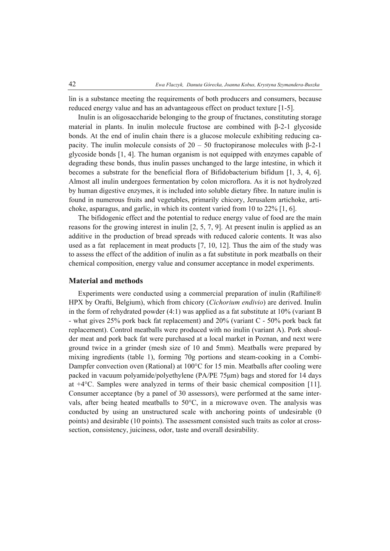lin is a substance meeting the requirements of both producers and consumers, because reduced energy value and has an advantageous effect on product texture [1-5].

Inulin is an oligosaccharide belonging to the group of fructanes, constituting storage material in plants. In inulin molecule fructose are combined with β-2-1 glycoside bonds. At the end of inulin chain there is a glucose molecule exhibiting reducing capacity. The inulin molecule consists of  $20 - 50$  fructopiranose molecules with β-2-1 glycoside bonds [1, 4]. The human organism is not equipped with enzymes capable of degrading these bonds, thus inulin passes unchanged to the large intestine, in which it becomes a substrate for the beneficial flora of Bifidobacterium bifidum [1, 3, 4, 6]. Almost all inulin undergoes fermentation by colon microflora. As it is not hydrolyzed by human digestive enzymes, it is included into soluble dietary fibre. In nature inulin is found in numerous fruits and vegetables, primarily chicory, Jerusalem artichoke, artichoke, asparagus, and garlic, in which its content varied from 10 to 22% [1, 6].

The bifidogenic effect and the potential to reduce energy value of food are the main reasons for the growing interest in inulin [2, 5, 7, 9]. At present inulin is applied as an additive in the production of bread spreads with reduced calorie contents. It was also used as a fat replacement in meat products [7, 10, 12]. Thus the aim of the study was to assess the effect of the addition of inulin as a fat substitute in pork meatballs on their chemical composition, energy value and consumer acceptance in model experiments.

## **Material and methods**

Experiments were conducted using a commercial preparation of inulin (Raftiline® HPX by Orafti, Belgium), which from chicory (*Cichorium endivio*) are derived. Inulin in the form of rehydrated powder  $(4:1)$  was applied as a fat substitute at  $10\%$  (variant B - what gives 25% pork back fat replacement) and 20% (variant C - 50% pork back fat replacement). Control meatballs were produced with no inulin (variant A). Pork shoulder meat and pork back fat were purchased at a local market in Poznan, and next were ground twice in a grinder (mesh size of 10 and 5mm). Meatballs were prepared by mixing ingredients (table 1), forming 70g portions and steam-cooking in a Combi-Dampfer convection oven (Rational) at 100°C for 15 min. Meatballs after cooling were packed in vacuum polyamide/polyethylene (PA/PE 75μm) bags and stored for 14 days at +4°C. Samples were analyzed in terms of their basic chemical composition [11]. Consumer acceptance (by a panel of 30 assessors), were performed at the same intervals, after being heated meatballs to 50°C, in a microwave oven. The analysis was conducted by using an unstructured scale with anchoring points of undesirable (0 points) and desirable (10 points). The assessment consisted such traits as color at crosssection, consistency, juiciness, odor, taste and overall desirability.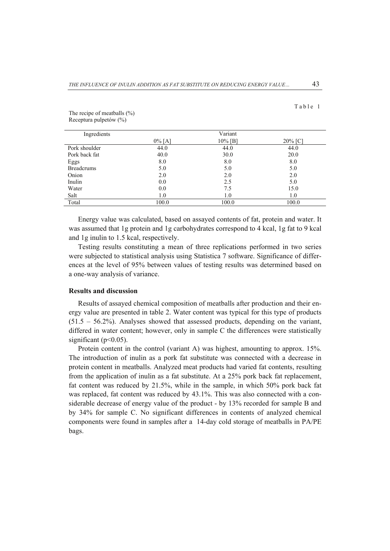| able |  |
|------|--|
|------|--|

| Ingredients       |           | Variant |         |  |  |  |
|-------------------|-----------|---------|---------|--|--|--|
|                   | $0\%$ [A] | 10% [B] | 20% [C] |  |  |  |
| Pork shoulder     | 44.0      | 44.0    | 44.0    |  |  |  |
| Pork back fat     | 40.0      | 30.0    | 20.0    |  |  |  |
| Eggs              | 8.0       | 8.0     | 8.0     |  |  |  |
| <b>Breadcrums</b> | 5.0       | 5.0     | 5.0     |  |  |  |
| Onion             | 2.0       | 2.0     | 2.0     |  |  |  |
| Inulin            | 0.0       | 2.5     | 5.0     |  |  |  |
| Water             | 0.0       | 7.5     | 15.0    |  |  |  |
| Salt              | 1.0       | 1.0     | 1.0     |  |  |  |
| Total             | 100.0     | 100.0   | 100.0   |  |  |  |

The recipe of meatballs (%) Receptura pulpetów (%)

Energy value was calculated, based on assayed contents of fat, protein and water. It was assumed that 1g protein and 1g carbohydrates correspond to 4 kcal, 1g fat to 9 kcal and 1g inulin to 1.5 kcal, respectively.

Testing results constituting a mean of three replications performed in two series were subjected to statistical analysis using Statistica 7 software. Significance of differences at the level of 95% between values of testing results was determined based on a one-way analysis of variance.

## **Results and discussion**

Results of assayed chemical composition of meatballs after production and their energy value are presented in table 2. Water content was typical for this type of products  $(51.5 - 56.2\%)$ . Analyses showed that assessed products, depending on the variant, differed in water content; however, only in sample C the differences were statistically significant ( $p<0.05$ ).

Protein content in the control (variant A) was highest, amounting to approx. 15%. The introduction of inulin as a pork fat substitute was connected with a decrease in protein content in meatballs. Analyzed meat products had varied fat contents, resulting from the application of inulin as a fat substitute. At a 25% pork back fat replacement, fat content was reduced by 21.5%, while in the sample, in which 50% pork back fat was replaced, fat content was reduced by 43.1%. This was also connected with a considerable decrease of energy value of the product - by 13% recorded for sample B and by 34% for sample C. No significant differences in contents of analyzed chemical components were found in samples after a 14-day cold storage of meatballs in PA/PE bags.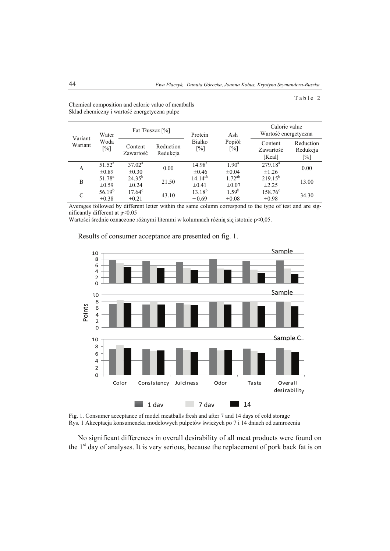## Table 2

| Variant<br>Wariant | Water<br>Woda<br>$\lceil\% \rceil$ |                               | Fat Thuszcz [%]       |                                  | Ash                          | Caloric value<br>Wartość energetyczna |                                 |
|--------------------|------------------------------------|-------------------------------|-----------------------|----------------------------------|------------------------------|---------------------------------------|---------------------------------|
|                    |                                    | Content<br>Zawartość          | Reduction<br>Redukcja | Białko<br>$\lceil \% \rceil$     | Popiół<br>$\lceil\% \rceil$  | Content<br>Zawartość<br>[Kcal]        | Reduction<br>Redukcja<br>$[\%]$ |
| A                  | $51.52^a$<br>$\pm 0.89$            | $37.02^{\rm a}$<br>$\pm 0.30$ | 0.00                  | 14.98 <sup>a</sup><br>$\pm 0.46$ | $1.90^{\rm a}$<br>$\pm 0.04$ | $279.18^{a}$<br>$\pm 1.26$            | 0.00                            |
| B                  | 51.78 <sup>a</sup><br>$\pm 0.59$   | $24.35^{b}$<br>$\pm 0.24$     | 21.50                 | $14.14^{ab}$<br>$\pm 0.41$       | $1.72^{ab}$<br>$\pm 0.07$    | $219.15^{b}$<br>$\pm 2.25$            | 13.00                           |
| C                  | $56.19^{b}$<br>$\pm 0.38$          | $17.64^{\circ}$<br>$\pm 0.21$ | 43.10                 | $13.18^{b}$<br>$\pm 0.69$        | $1.59^{b}$<br>$\pm 0.08$     | $158.76^{\circ}$<br>$\pm 0.98$        | 34.30                           |

Chemical composition and caloric value of meatballs Skład chemiczny i wartość energetyczna pulpe

Averages followed by different letter within the same column correspond to the type of test and are significantly different at p<0.05

Wartości średnie oznaczone różnymi literami w kolumnach różnią się istotnie p<0,05.



Results of consumer acceptance are presented on fig. 1.

Fig. 1. Consumer acceptance of model meatballs fresh and after 7 and 14 days of cold storage Rys. 1 Akceptacja konsumencka modelowych pulpetów świeżych po 7 i 14 dniach od zamrożenia

No significant differences in overall desirability of all meat products were found on the  $1<sup>st</sup>$  day of analyses. It is very serious, because the replacement of pork back fat is on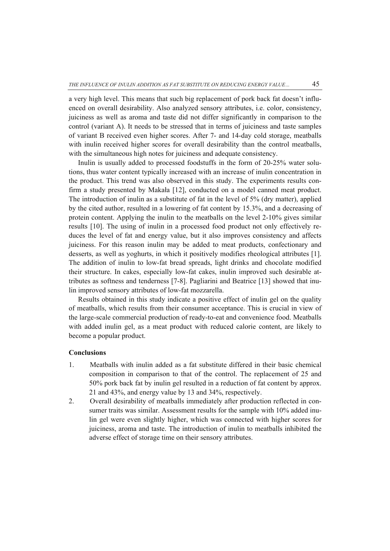a very high level. This means that such big replacement of pork back fat doesn't influenced on overall desirability. Also analyzed sensory attributes, i.e. color, consistency, juiciness as well as aroma and taste did not differ significantly in comparison to the control (variant A). It needs to be stressed that in terms of juiciness and taste samples of variant B received even higher scores. After 7- and 14-day cold storage, meatballs with inulin received higher scores for overall desirability than the control meatballs, with the simultaneous high notes for juiciness and adequate consistency.

Inulin is usually added to processed foodstuffs in the form of 20-25% water solutions, thus water content typically increased with an increase of inulin concentration in the product. This trend was also observed in this study. The experiments results confirm a study presented by Makała [12], conducted on a model canned meat product. The introduction of inulin as a substitute of fat in the level of 5% (dry matter), applied by the cited author, resulted in a lowering of fat content by 15.3%, and a decreasing of protein content. Applying the inulin to the meatballs on the level 2-10% gives similar results [10]. The using of inulin in a processed food product not only effectively reduces the level of fat and energy value, but it also improves consistency and affects juiciness. For this reason inulin may be added to meat products, confectionary and desserts, as well as yoghurts, in which it positively modifies rheological attributes [1]. The addition of inulin to low-fat bread spreads, light drinks and chocolate modified their structure. In cakes, especially low-fat cakes, inulin improved such desirable attributes as softness and tenderness [7-8]. Pagliarini and Beatrice [13] showed that inulin improved sensory attributes of low-fat mozzarella.

Results obtained in this study indicate a positive effect of inulin gel on the quality of meatballs, which results from their consumer acceptance. This is crucial in view of the large-scale commercial production of ready-to-eat and convenience food. Meatballs with added inulin gel, as a meat product with reduced calorie content, are likely to become a popular product.

## **Conclusions**

- 1. Meatballs with inulin added as a fat substitute differed in their basic chemical composition in comparison to that of the control. The replacement of 25 and 50% pork back fat by inulin gel resulted in a reduction of fat content by approx. 21 and 43%, and energy value by 13 and 34%, respectively.
- 2. Overall desirability of meatballs immediately after production reflected in consumer traits was similar. Assessment results for the sample with 10% added inulin gel were even slightly higher, which was connected with higher scores for juiciness, aroma and taste. The introduction of inulin to meatballs inhibited the adverse effect of storage time on their sensory attributes.